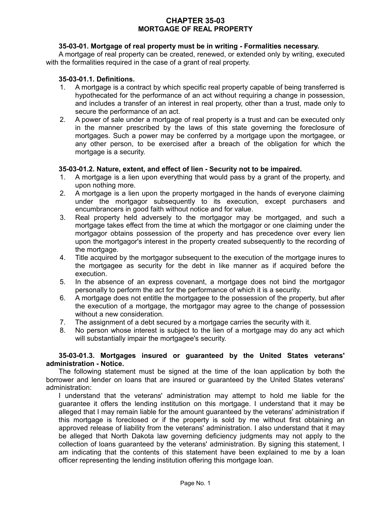# **CHAPTER 35-03 MORTGAGE OF REAL PROPERTY**

# **35-03-01. Mortgage of real property must be in writing - Formalities necessary.**

A mortgage of real property can be created, renewed, or extended only by writing, executed with the formalities required in the case of a grant of real property.

#### **35-03-01.1. Definitions.**

- 1. A mortgage is a contract by which specific real property capable of being transferred is hypothecated for the performance of an act without requiring a change in possession, and includes a transfer of an interest in real property, other than a trust, made only to secure the performance of an act.
- 2. A power of sale under a mortgage of real property is a trust and can be executed only in the manner prescribed by the laws of this state governing the foreclosure of mortgages. Such a power may be conferred by a mortgage upon the mortgagee, or any other person, to be exercised after a breach of the obligation for which the mortgage is a security.

## **35-03-01.2. Nature, extent, and effect of lien - Security not to be impaired.**

- 1. A mortgage is a lien upon everything that would pass by a grant of the property, and upon nothing more.
- 2. A mortgage is a lien upon the property mortgaged in the hands of everyone claiming under the mortgagor subsequently to its execution, except purchasers and encumbrancers in good faith without notice and for value.
- 3. Real property held adversely to the mortgagor may be mortgaged, and such a mortgage takes effect from the time at which the mortgagor or one claiming under the mortgagor obtains possession of the property and has precedence over every lien upon the mortgagor's interest in the property created subsequently to the recording of the mortgage.
- 4. Title acquired by the mortgagor subsequent to the execution of the mortgage inures to the mortgagee as security for the debt in like manner as if acquired before the execution.
- 5. In the absence of an express covenant, a mortgage does not bind the mortgagor personally to perform the act for the performance of which it is a security.
- 6. A mortgage does not entitle the mortgagee to the possession of the property, but after the execution of a mortgage, the mortgagor may agree to the change of possession without a new consideration.
- 7. The assignment of a debt secured by a mortgage carries the security with it.
- 8. No person whose interest is subject to the lien of a mortgage may do any act which will substantially impair the mortgagee's security.

## **35-03-01.3. Mortgages insured or guaranteed by the United States veterans' administration - Notice.**

The following statement must be signed at the time of the loan application by both the borrower and lender on loans that are insured or guaranteed by the United States veterans' administration:

I understand that the veterans' administration may attempt to hold me liable for the guarantee it offers the lending institution on this mortgage. I understand that it may be alleged that I may remain liable for the amount guaranteed by the veterans' administration if this mortgage is foreclosed or if the property is sold by me without first obtaining an approved release of liability from the veterans' administration. I also understand that it may be alleged that North Dakota law governing deficiency judgments may not apply to the collection of loans guaranteed by the veterans' administration. By signing this statement, I am indicating that the contents of this statement have been explained to me by a loan officer representing the lending institution offering this mortgage loan.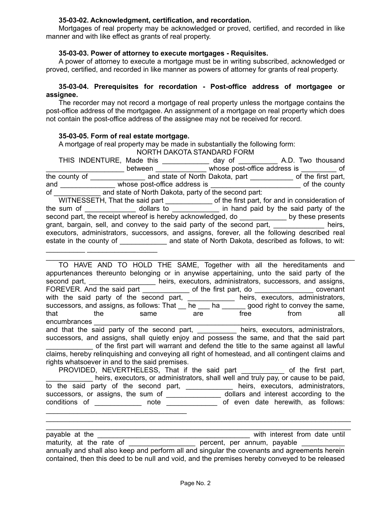## **35-03-02. Acknowledgment, certification, and recordation.**

Mortgages of real property may be acknowledged or proved, certified, and recorded in like manner and with like effect as grants of real property.

## **35-03-03. Power of attorney to execute mortgages - Requisites.**

A power of attorney to execute a mortgage must be in writing subscribed, acknowledged or proved, certified, and recorded in like manner as powers of attorney for grants of real property.

# **35-03-04. Prerequisites for recordation - Post-office address of mortgagee or assignee.**

The recorder may not record a mortgage of real property unless the mortgage contains the post-office address of the mortgagee. An assignment of a mortgage on real property which does not contain the post-office address of the assignee may not be received for record.

## **35-03-05. Form of real estate mortgage.**

 $\mathcal{L}_\text{max}$  , and the set of the set of the set of the set of the set of the set of the set of the set of the set of the set of the set of the set of the set of the set of the set of the set of the set of the set of the

A mortgage of real property may be made in substantially the following form:

NORTH DAKOTA STANDARD FORM

|                                                                                                |  |  | THIS INDENTURE, Made this day of A.D. Two thousand                                             |  |  |  |  |  |
|------------------------------------------------------------------------------------------------|--|--|------------------------------------------------------------------------------------------------|--|--|--|--|--|
|                                                                                                |  |  | between whose post-office address is of                                                        |  |  |  |  |  |
|                                                                                                |  |  |                                                                                                |  |  |  |  |  |
|                                                                                                |  |  | and whose post-office address is entitled and the county                                       |  |  |  |  |  |
| of and state of North Dakota, party of the second part:                                        |  |  |                                                                                                |  |  |  |  |  |
|                                                                                                |  |  | WITNESSETH, That the said part ________________ of the first part, for and in consideration of |  |  |  |  |  |
|                                                                                                |  |  |                                                                                                |  |  |  |  |  |
| second part, the receipt whereof is hereby acknowledged, do _________________by these presents |  |  |                                                                                                |  |  |  |  |  |
| grant, bargain, sell, and convey to the said party of the second part,<br>heirs,               |  |  |                                                                                                |  |  |  |  |  |
| executors, administrators, successors, and assigns, forever, all the following described real  |  |  |                                                                                                |  |  |  |  |  |
|                                                                                                |  |  |                                                                                                |  |  |  |  |  |
|                                                                                                |  |  |                                                                                                |  |  |  |  |  |

| TO HAVE AND TO HOLD THE SAME, Together with all the hereditaments and                            |  |  |  |  |  |  |  |  |  |
|--------------------------------------------------------------------------------------------------|--|--|--|--|--|--|--|--|--|
| appurtenances thereunto belonging or in anywise appertaining, unto the said party of the         |  |  |  |  |  |  |  |  |  |
| second part, __________________ heirs, executors, administrators, successors, and assigns,       |  |  |  |  |  |  |  |  |  |
| FOREVER. And the said part _______________ of the first part, do ________________ covenant       |  |  |  |  |  |  |  |  |  |
| with the said party of the second part, ____________ heirs, executors, administrators,           |  |  |  |  |  |  |  |  |  |
| successors, and assigns, as follows: That he hall hall manned good right to convey the same,     |  |  |  |  |  |  |  |  |  |
| that the same are free from<br>all                                                               |  |  |  |  |  |  |  |  |  |
| encumbrances                                                                                     |  |  |  |  |  |  |  |  |  |
| and that the said party of the second part, _________ heirs, executors, administrators,          |  |  |  |  |  |  |  |  |  |
| successors, and assigns, shall quietly enjoy and possess the same, and that the said part        |  |  |  |  |  |  |  |  |  |
| of the first part will warrant and defend the title to the same against all lawful               |  |  |  |  |  |  |  |  |  |
| claims, hereby relinquishing and conveying all right of homestead, and all contingent claims and |  |  |  |  |  |  |  |  |  |
| rights whatsoever in and to the said premises.                                                   |  |  |  |  |  |  |  |  |  |
| PROVIDED, NEVERTHELESS, That if the said part ____________ of the first part,                    |  |  |  |  |  |  |  |  |  |
| heirs, executors, or administrators, shall well and truly pay, or cause to be paid,              |  |  |  |  |  |  |  |  |  |
| to the said party of the second part, ____________ heirs, executors, administrators,             |  |  |  |  |  |  |  |  |  |
| eucoescare ar assigns the sum of the dialogue dollars and interest according to the              |  |  |  |  |  |  |  |  |  |

successors, or assigns, the sum of \_\_\_\_\_\_\_\_\_\_\_\_\_\_\_\_\_\_\_ dollars and interest according to the conditions of \_\_\_\_\_\_\_\_\_\_\_\_\_ note \_\_\_\_\_\_\_\_\_\_\_\_\_\_\_ of even date herewith, as follows:

\_\_\_\_\_\_\_\_\_\_\_\_\_\_\_\_\_\_\_\_\_\_\_\_\_\_\_\_\_\_\_\_\_\_\_\_\_\_\_\_\_\_\_\_\_\_\_\_\_\_\_\_\_\_\_\_\_\_\_\_\_\_\_\_\_\_\_\_\_\_\_\_\_\_\_\_\_\_

\_\_\_\_\_\_\_\_\_\_\_\_\_\_\_\_\_\_\_\_\_\_\_\_\_\_\_\_\_\_\_\_\_\_\_\_\_\_\_\_\_\_\_\_\_\_\_\_\_\_\_\_\_\_\_\_\_\_\_\_\_\_\_\_\_\_\_\_\_\_\_\_\_\_\_\_\_\_ payable at the \_\_\_\_\_\_\_\_\_\_\_\_\_\_\_\_\_\_\_\_\_\_\_\_\_\_\_\_\_\_\_\_\_\_\_\_\_\_\_ with interest from date until maturity, at the rate of \_\_\_\_\_\_\_\_\_\_\_\_\_\_\_\_\_\_\_\_ percent, per annum, payable \_\_\_\_\_\_\_\_\_\_ annually and shall also keep and perform all and singular the covenants and agreements herein contained, then this deed to be null and void, and the premises hereby conveyed to be released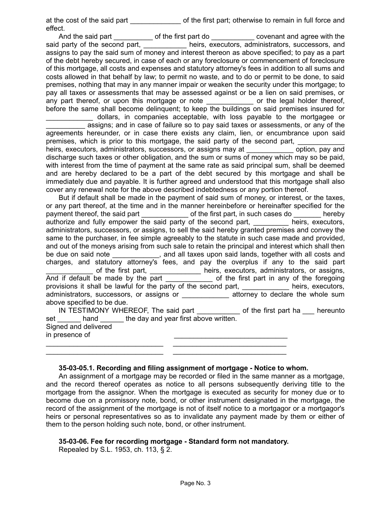at the cost of the said part of the first part; otherwise to remain in full force and effect.

And the said part \_\_\_\_\_\_\_\_\_\_\_\_ of the first part do \_\_\_\_\_\_\_\_\_\_\_\_\_ covenant and agree with the said party of the second part, \_\_\_\_\_\_\_\_\_\_\_\_ heirs, executors, administrators, successors, and assigns to pay the said sum of money and interest thereon as above specified; to pay as a part of the debt hereby secured, in case of each or any foreclosure or commencement of foreclosure of this mortgage, all costs and expenses and statutory attorney's fees in addition to all sums and costs allowed in that behalf by law; to permit no waste, and to do or permit to be done, to said premises, nothing that may in any manner impair or weaken the security under this mortgage; to pay all taxes or assessments that may be assessed against or be a lien on said premises, or any part thereof, or upon this mortgage or note \_\_\_\_\_\_\_\_\_\_\_\_\_\_ or the legal holder thereof, before the same shall become delinquent; to keep the buildings on said premises insured for \_\_\_\_\_\_\_\_\_\_\_\_ dollars, in companies acceptable, with loss payable to the mortgagee or assigns; and in case of failure so to pay said taxes or assessments, or any of the agreements hereunder, or in case there exists any claim, lien, or encumbrance upon said premises, which is prior to this mortgage, the said party of the second part, heirs, executors, administrators, successors, or assigns may at \_\_\_\_\_\_\_\_\_\_\_\_\_\_\_ option, pay and discharge such taxes or other obligation, and the sum or sums of money which may so be paid, with interest from the time of payment at the same rate as said principal sum, shall be deemed and are hereby declared to be a part of the debt secured by this mortgage and shall be immediately due and payable. It is further agreed and understood that this mortgage shall also cover any renewal note for the above described indebtedness or any portion thereof. But if default shall be made in the payment of said sum of money, or interest, or the taxes, or any part thereof, at the time and in the manner hereinbefore or hereinafter specified for the payment thereof, the said part \_\_\_\_\_\_\_\_\_\_\_\_\_\_\_\_ of the first part, in such cases do \_\_\_\_\_\_\_\_\_ hereby authorize and fully empower the said party of the second part, executors, executors, administrators, successors, or assigns, to sell the said hereby granted premises and convey the

same to the purchaser, in fee simple agreeably to the statute in such case made and provided, and out of the moneys arising from such sale to retain the principal and interest which shall then be due on said note \_\_\_\_\_\_\_\_\_\_, and all taxes upon said lands, together with all costs and charges, and statutory attorney's fees, and pay the overplus if any to the said part \_\_\_\_\_\_\_\_\_\_\_\_ of the first part, \_\_\_\_\_\_\_\_\_\_\_\_\_ heirs, executors, administrators, or assigns, And if default be made by the part \_\_\_\_\_\_\_\_\_\_\_\_\_\_ of the first part in any of the foregoing provisions it shall be lawful for the party of the second part, \_\_\_\_\_\_\_\_\_\_\_\_ heirs, executors, administrators, successors, or assigns or \_\_\_\_\_\_\_\_\_\_\_\_\_\_ attorney to declare the whole sum above specified to be due. IN TESTIMONY WHEREOF, The said part \_\_\_\_\_\_\_\_\_\_\_ of the first part ha \_\_\_ hereunto

set \_\_\_\_\_\_ hand \_\_\_\_\_\_ the day and year first above written. Signed and delivered in presence of

## **35-03-05.1. Recording and filing assignment of mortgage - Notice to whom.**

\_\_\_\_\_\_\_\_\_\_\_\_\_\_\_\_\_\_\_\_\_\_\_\_\_\_\_\_\_\_ \_\_\_\_\_\_\_\_\_\_\_\_\_\_\_\_\_\_\_\_\_\_\_\_\_\_\_\_\_ \_\_\_\_\_\_\_\_\_\_\_\_\_\_\_\_\_\_\_\_\_\_\_\_\_\_\_\_\_\_ \_\_\_\_\_\_\_\_\_\_\_\_\_\_\_\_\_\_\_\_\_\_\_\_\_\_\_\_\_

An assignment of a mortgage may be recorded or filed in the same manner as a mortgage, and the record thereof operates as notice to all persons subsequently deriving title to the mortgage from the assignor. When the mortgage is executed as security for money due or to become due on a promissory note, bond, or other instrument designated in the mortgage, the record of the assignment of the mortgage is not of itself notice to a mortgagor or a mortgagor's heirs or personal representatives so as to invalidate any payment made by them or either of them to the person holding such note, bond, or other instrument.

# **35-03-06. Fee for recording mortgage - Standard form not mandatory.**

Repealed by S.L. 1953, ch. 113, § 2.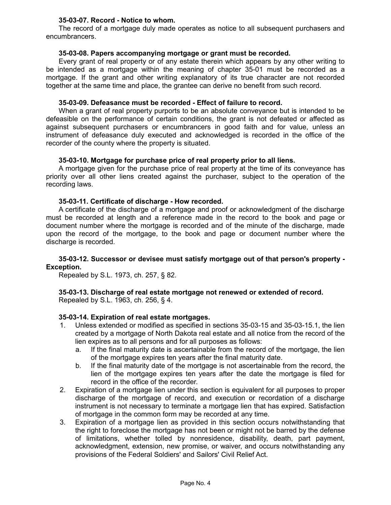#### **35-03-07. Record - Notice to whom.**

The record of a mortgage duly made operates as notice to all subsequent purchasers and encumbrancers.

# **35-03-08. Papers accompanying mortgage or grant must be recorded.**

Every grant of real property or of any estate therein which appears by any other writing to be intended as a mortgage within the meaning of chapter 35-01 must be recorded as a mortgage. If the grant and other writing explanatory of its true character are not recorded together at the same time and place, the grantee can derive no benefit from such record.

#### **35-03-09. Defeasance must be recorded - Effect of failure to record.**

When a grant of real property purports to be an absolute conveyance but is intended to be defeasible on the performance of certain conditions, the grant is not defeated or affected as against subsequent purchasers or encumbrancers in good faith and for value, unless an instrument of defeasance duly executed and acknowledged is recorded in the office of the recorder of the county where the property is situated.

## **35-03-10. Mortgage for purchase price of real property prior to all liens.**

A mortgage given for the purchase price of real property at the time of its conveyance has priority over all other liens created against the purchaser, subject to the operation of the recording laws.

## **35-03-11. Certificate of discharge - How recorded.**

A certificate of the discharge of a mortgage and proof or acknowledgment of the discharge must be recorded at length and a reference made in the record to the book and page or document number where the mortgage is recorded and of the minute of the discharge, made upon the record of the mortgage, to the book and page or document number where the discharge is recorded.

## **35-03-12. Successor or devisee must satisfy mortgage out of that person's property - Exception.**

Repealed by S.L. 1973, ch. 257, § 82.

# **35-03-13. Discharge of real estate mortgage not renewed or extended of record.**

Repealed by S.L. 1963, ch. 256, § 4.

#### **35-03-14. Expiration of real estate mortgages.**

- 1. Unless extended or modified as specified in sections 35-03-15 and 35-03-15.1, the lien created by a mortgage of North Dakota real estate and all notice from the record of the lien expires as to all persons and for all purposes as follows:
	- a. If the final maturity date is ascertainable from the record of the mortgage, the lien of the mortgage expires ten years after the final maturity date.
	- b. If the final maturity date of the mortgage is not ascertainable from the record, the lien of the mortgage expires ten years after the date the mortgage is filed for record in the office of the recorder.
- 2. Expiration of a mortgage lien under this section is equivalent for all purposes to proper discharge of the mortgage of record, and execution or recordation of a discharge instrument is not necessary to terminate a mortgage lien that has expired. Satisfaction of mortgage in the common form may be recorded at any time.
- 3. Expiration of a mortgage lien as provided in this section occurs notwithstanding that the right to foreclose the mortgage has not been or might not be barred by the defense of limitations, whether tolled by nonresidence, disability, death, part payment, acknowledgment, extension, new promise, or waiver, and occurs notwithstanding any provisions of the Federal Soldiers' and Sailors' Civil Relief Act.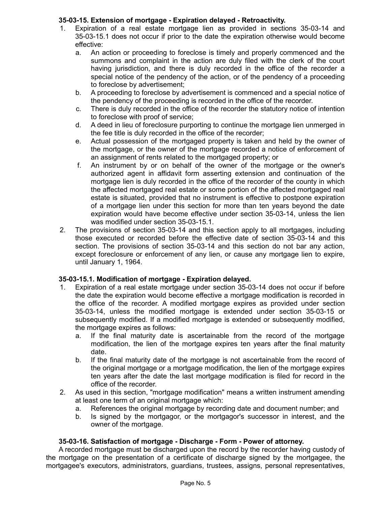# **35-03-15. Extension of mortgage - Expiration delayed - Retroactivity.**

- 1. Expiration of a real estate mortgage lien as provided in sections 35-03-14 and 35-03-15.1 does not occur if prior to the date the expiration otherwise would become effective:
	- a. An action or proceeding to foreclose is timely and properly commenced and the summons and complaint in the action are duly filed with the clerk of the court having jurisdiction, and there is duly recorded in the office of the recorder a special notice of the pendency of the action, or of the pendency of a proceeding to foreclose by advertisement;
	- b. A proceeding to foreclose by advertisement is commenced and a special notice of the pendency of the proceeding is recorded in the office of the recorder.
	- c. There is duly recorded in the office of the recorder the statutory notice of intention to foreclose with proof of service;
	- d. A deed in lieu of foreclosure purporting to continue the mortgage lien unmerged in the fee title is duly recorded in the office of the recorder;
	- e. Actual possession of the mortgaged property is taken and held by the owner of the mortgage, or the owner of the mortgage recorded a notice of enforcement of an assignment of rents related to the mortgaged property; or
	- f. An instrument by or on behalf of the owner of the mortgage or the owner's authorized agent in affidavit form asserting extension and continuation of the mortgage lien is duly recorded in the office of the recorder of the county in which the affected mortgaged real estate or some portion of the affected mortgaged real estate is situated, provided that no instrument is effective to postpone expiration of a mortgage lien under this section for more than ten years beyond the date expiration would have become effective under section 35-03-14, unless the lien was modified under section 35-03-15.1.
- 2. The provisions of section 35-03-14 and this section apply to all mortgages, including those executed or recorded before the effective date of section 35-03-14 and this section. The provisions of section 35-03-14 and this section do not bar any action, except foreclosure or enforcement of any lien, or cause any mortgage lien to expire, until January 1, 1964.

# **35-03-15.1. Modification of mortgage - Expiration delayed.**

- 1. Expiration of a real estate mortgage under section 35-03-14 does not occur if before the date the expiration would become effective a mortgage modification is recorded in the office of the recorder. A modified mortgage expires as provided under section 35-03-14, unless the modified mortgage is extended under section 35-03-15 or subsequently modified. If a modified mortgage is extended or subsequently modified, the mortgage expires as follows:
	- a. If the final maturity date is ascertainable from the record of the mortgage modification, the lien of the mortgage expires ten years after the final maturity date.
	- b. If the final maturity date of the mortgage is not ascertainable from the record of the original mortgage or a mortgage modification, the lien of the mortgage expires ten years after the date the last mortgage modification is filed for record in the office of the recorder.
- 2. As used in this section, "mortgage modification" means a written instrument amending at least one term of an original mortgage which:
	- a. References the original mortgage by recording date and document number; and
	- b. Is signed by the mortgagor, or the mortgagor's successor in interest, and the owner of the mortgage.

# **35-03-16. Satisfaction of mortgage - Discharge - Form - Power of attorney.**

A recorded mortgage must be discharged upon the record by the recorder having custody of the mortgage on the presentation of a certificate of discharge signed by the mortgagee, the mortgagee's executors, administrators, guardians, trustees, assigns, personal representatives,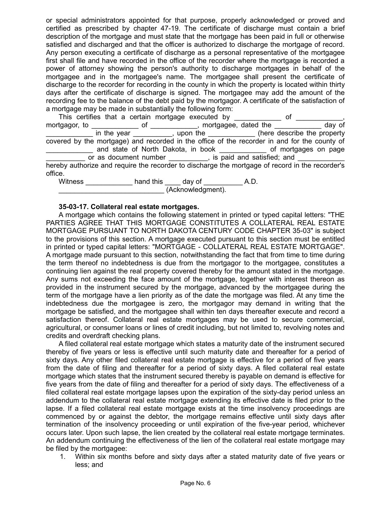or special administrators appointed for that purpose, properly acknowledged or proved and certified as prescribed by chapter 47-19. The certificate of discharge must contain a brief description of the mortgage and must state that the mortgage has been paid in full or otherwise satisfied and discharged and that the officer is authorized to discharge the mortgage of record. Any person executing a certificate of discharge as a personal representative of the mortgagee first shall file and have recorded in the office of the recorder where the mortgage is recorded a power of attorney showing the person's authority to discharge mortgages in behalf of the mortgagee and in the mortgagee's name. The mortgagee shall present the certificate of discharge to the recorder for recording in the county in which the property is located within thirty days after the certificate of discharge is signed. The mortgagee may add the amount of the recording fee to the balance of the debt paid by the mortgagor. A certificate of the satisfaction of a mortgage may be made in substantially the following form:

|              | This certifies that a certain mortgage executed by _____________ of ___                         |  |  |  |
|--------------|-------------------------------------------------------------------------------------------------|--|--|--|
|              | mortgagor, to ________________ of _____________, mortgagee, dated the _____________ day of      |  |  |  |
|              | in the year ___________, upon the _____________ (here describe the property                     |  |  |  |
|              | covered by the mortgage) and recorded in the office of the recorder in and for the county of    |  |  |  |
|              | and state of North Dakota, in book ______________ of mortgages on page                          |  |  |  |
|              | or as document number __________, is paid and satisfied; and ____________                       |  |  |  |
|              | hereby authorize and require the recorder to discharge the mortgage of record in the recorder's |  |  |  |
| office.      |                                                                                                 |  |  |  |
| $\mathbf{A}$ |                                                                                                 |  |  |  |

Witness \_\_\_\_\_\_\_\_\_\_\_\_ hand this \_\_\_\_ day of \_\_\_\_\_\_\_\_\_\_ A.D. \_\_\_\_\_\_\_\_\_\_\_\_\_\_\_\_\_\_\_\_\_\_\_\_\_\_\_ (Acknowledgment).

## **35-03-17. Collateral real estate mortgages.**

A mortgage which contains the following statement in printed or typed capital letters: "THE PARTIES AGREE THAT THIS MORTGAGE CONSTITUTES A COLLATERAL REAL ESTATE MORTGAGE PURSUANT TO NORTH DAKOTA CENTURY CODE CHAPTER 35-03" is subject to the provisions of this section. A mortgage executed pursuant to this section must be entitled in printed or typed capital letters: "MORTGAGE - COLLATERAL REAL ESTATE MORTGAGE". A mortgage made pursuant to this section, notwithstanding the fact that from time to time during the term thereof no indebtedness is due from the mortgagor to the mortgagee, constitutes a continuing lien against the real property covered thereby for the amount stated in the mortgage. Any sums not exceeding the face amount of the mortgage, together with interest thereon as provided in the instrument secured by the mortgage, advanced by the mortgagee during the term of the mortgage have a lien priority as of the date the mortgage was filed. At any time the indebtedness due the mortgagee is zero, the mortgagor may demand in writing that the mortgage be satisfied, and the mortgagee shall within ten days thereafter execute and record a satisfaction thereof. Collateral real estate mortgages may be used to secure commercial, agricultural, or consumer loans or lines of credit including, but not limited to, revolving notes and credits and overdraft checking plans.

A filed collateral real estate mortgage which states a maturity date of the instrument secured thereby of five years or less is effective until such maturity date and thereafter for a period of sixty days. Any other filed collateral real estate mortgage is effective for a period of five years from the date of filing and thereafter for a period of sixty days. A filed collateral real estate mortgage which states that the instrument secured thereby is payable on demand is effective for five years from the date of filing and thereafter for a period of sixty days. The effectiveness of a filed collateral real estate mortgage lapses upon the expiration of the sixty-day period unless an addendum to the collateral real estate mortgage extending its effective date is filed prior to the lapse. If a filed collateral real estate mortgage exists at the time insolvency proceedings are commenced by or against the debtor, the mortgage remains effective until sixty days after termination of the insolvency proceeding or until expiration of the five-year period, whichever occurs later. Upon such lapse, the lien created by the collateral real estate mortgage terminates. An addendum continuing the effectiveness of the lien of the collateral real estate mortgage may be filed by the mortgagee:

1. Within six months before and sixty days after a stated maturity date of five years or less; and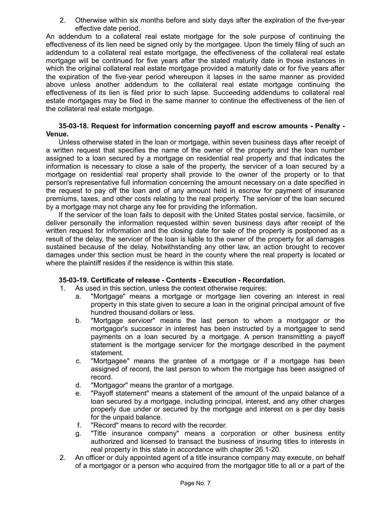2. Otherwise within six months before and sixty days after the expiration of the five-year effective date period.

An addendum to a collateral real estate mortgage for the sole purpose of continuing the effectiveness of its lien need be signed only by the mortgagee. Upon the timely filing of such an addendum to a collateral real estate mortgage, the effectiveness of the collateral real estate mortgage will be continued for five years after the stated maturity date in those instances in which the original collateral real estate mortgage provided a maturity date or for five years after the expiration of the five-year period whereupon it lapses in the same manner as provided above unless another addendum to the collateral real estate mortgage continuing the effectiveness of its lien is filed prior to such lapse. Succeeding addendums to collateral real estate mortgages may be filed in the same manner to continue the effectiveness of the lien of the collateral real estate mortgage.

#### **35-03-18. Request for information concerning payoff and escrow amounts - Penalty - Venue.**

Unless otherwise stated in the loan or mortgage, within seven business days after receipt of a written request that specifies the name of the owner of the property and the loan number assigned to a loan secured by a mortgage on residential real property and that indicates the information is necessary to close a sale of the property, the servicer of a loan secured by a mortgage on residential real property shall provide to the owner of the property or to that person's representative full information concerning the amount necessary on a date specified in the request to pay off the loan and of any amount held in escrow for payment of insurance premiums, taxes, and other costs relating to the real property. The servicer of the loan secured by a mortgage may not charge any fee for providing the information.

If the servicer of the loan fails to deposit with the United States postal service, facsimile, or deliver personally the information requested within seven business days after receipt of the written request for information and the closing date for sale of the property is postponed as a result of the delay, the servicer of the loan is liable to the owner of the property for all damages sustained because of the delay. Notwithstanding any other law, an action brought to recover damages under this section must be heard in the county where the real property is located or where the plaintiff resides if the residence is within this state.

# **35-03-19. Certificate of release - Contents - Execution - Recordation.**

- 1. As used in this section, unless the context otherwise requires:
	- a. "Mortgage" means a mortgage or mortgage lien covering an interest in real property in this state given to secure a loan in the original principal amount of five hundred thousand dollars or less.
	- b. "Mortgage servicer" means the last person to whom a mortgagor or the mortgagor's successor in interest has been instructed by a mortgagee to send payments on a loan secured by a mortgage. A person transmitting a payoff statement is the mortgage servicer for the mortgage described in the payment statement.
	- c. "Mortgagee" means the grantee of a mortgage or if a mortgage has been assigned of record, the last person to whom the mortgage has been assigned of record.
	- d. "Mortgagor" means the grantor of a mortgage.
	- e. "Payoff statement" means a statement of the amount of the unpaid balance of a loan secured by a mortgage, including principal, interest, and any other charges properly due under or secured by the mortgage and interest on a per day basis for the unpaid balance.
	- f. "Record" means to record with the recorder.
	- g. "Title insurance company" means a corporation or other business entity authorized and licensed to transact the business of insuring titles to interests in real property in this state in accordance with chapter 26.1-20.
- 2. An officer or duly appointed agent of a title insurance company may execute, on behalf of a mortgagor or a person who acquired from the mortgagor title to all or a part of the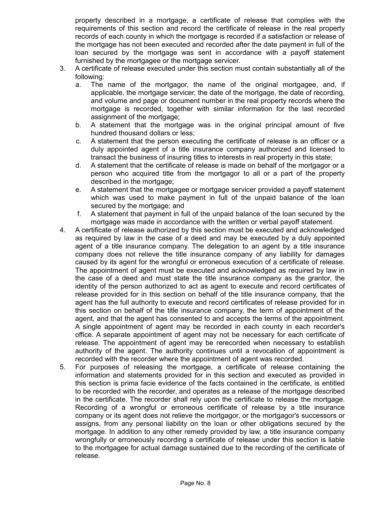property described in a mortgage, a certificate of release that complies with the requirements of this section and record the certificate of release in the real property records of each county in which the mortgage is recorded if a satisfaction or release of the mortgage has not been executed and recorded after the date payment in full of the loan secured by the mortgage was sent in accordance with a payoff statement furnished by the mortgagee or the mortgage servicer.

- 3. A certificate of release executed under this section must contain substantially all of the following:
	- a. The name of the mortgagor, the name of the original mortgagee, and, if applicable, the mortgage servicer, the date of the mortgage, the date of recording, and volume and page or document number in the real property records where the mortgage is recorded, together with similar information for the last recorded assignment of the mortgage;
	- b. A statement that the mortgage was in the original principal amount of five hundred thousand dollars or less;
	- c. A statement that the person executing the certificate of release is an officer or a duly appointed agent of a title insurance company authorized and licensed to transact the business of insuring titles to interests in real property in this state;
	- d. A statement that the certificate of release is made on behalf of the mortgagor or a person who acquired title from the mortgagor to all or a part of the property described in the mortgage;
	- e. A statement that the mortgagee or mortgage servicer provided a payoff statement which was used to make payment in full of the unpaid balance of the loan secured by the mortgage; and
	- f. A statement that payment in full of the unpaid balance of the loan secured by the mortgage was made in accordance with the written or verbal payoff statement.
- 4. A certificate of release authorized by this section must be executed and acknowledged as required by law in the case of a deed and may be executed by a duly appointed agent of a title insurance company. The delegation to an agent by a title insurance company does not relieve the title insurance company of any liability for damages caused by its agent for the wrongful or erroneous execution of a certificate of release. The appointment of agent must be executed and acknowledged as required by law in the case of a deed and must state the title insurance company as the grantor, the identity of the person authorized to act as agent to execute and record certificates of release provided for in this section on behalf of the title insurance company, that the agent has the full authority to execute and record certificates of release provided for in this section on behalf of the title insurance company, the term of appointment of the agent, and that the agent has consented to and accepts the terms of the appointment. A single appointment of agent may be recorded in each county in each recorder's office. A separate appointment of agent may not be necessary for each certificate of release. The appointment of agent may be rerecorded when necessary to establish authority of the agent. The authority continues until a revocation of appointment is recorded with the recorder where the appointment of agent was recorded.
- 5. For purposes of releasing the mortgage, a certificate of release containing the information and statements provided for in this section and executed as provided in this section is prima facie evidence of the facts contained in the certificate, is entitled to be recorded with the recorder, and operates as a release of the mortgage described in the certificate. The recorder shall rely upon the certificate to release the mortgage. Recording of a wrongful or erroneous certificate of release by a title insurance company or its agent does not relieve the mortgagor, or the mortgagor's successors or assigns, from any personal liability on the loan or other obligations secured by the mortgage. In addition to any other remedy provided by law, a title insurance company wrongfully or erroneously recording a certificate of release under this section is liable to the mortgagee for actual damage sustained due to the recording of the certificate of release.